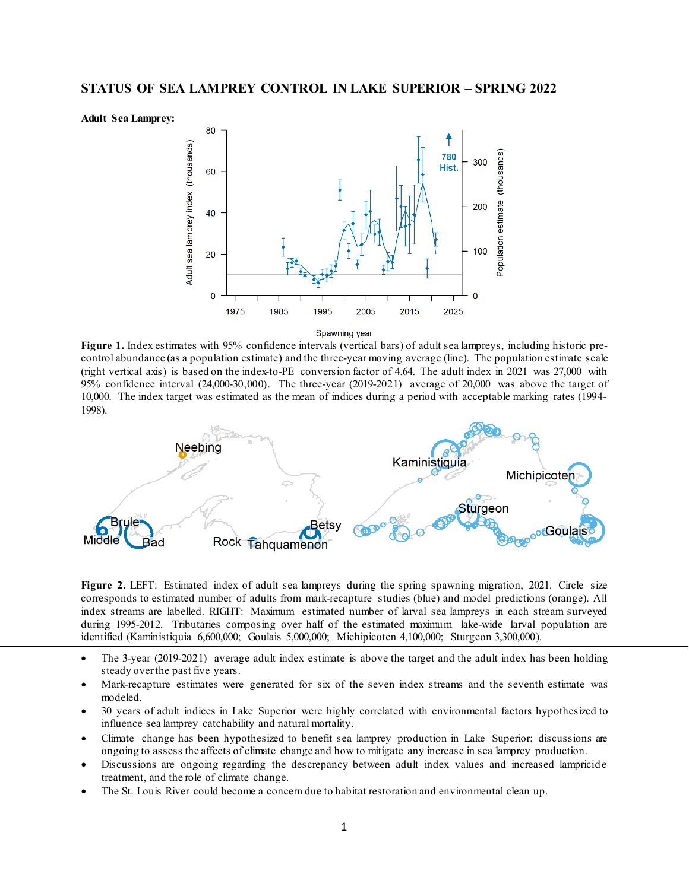



Spawning year

**Figure 1.** Index estimates with 95% confidence intervals (vertical bars) of adult sea lampreys, including historic precontrol abundance (as a population estimate) and the three-year moving average (line). The population estimate scale (right vertical axis) is based on the index-to-PE conversion factor of 4.64. The adult index in 2021 was 27,000 with 95% confidence interval (24,000-30,000). The three-year (2019-2021) average of 20,000 was above the target of 10,000. The index target was estimated as the mean of indices during a period with acceptable marking rates (1994- 1998).



Figure 2. LEFT: Estimated index of adult sea lampreys during the spring spawning migration, 2021. Circle size corresponds to estimated number of adults from mark-recapture studies (blue) and model predictions (orange). All index streams are labelled. RIGHT: Maximum estimated number of larval sea lampreys in each stream surveyed during 1995-2012. Tributaries composing over half of the estimated maximum lake-wide larval population are identified (Kaministiquia 6,600,000; Goulais 5,000,000; Michipicoten 4,100,000; Sturgeon 3,300,000).

- The 3-year (2019-2021) average adult index estimate is above the target and the adult index has been holding steady over the past five years.
- Mark-recapture estimates were generated for six of the seven index streams and the seventh estimate was modeled.
- 30 years of adult indices in Lake Superior were highly correlated with environmental factors hypothesized to influence sea lamprey catchability and natural mortality.
- Climate change has been hypothesized to benefit sea lamprey production in Lake Superior; discussions are ongoing to assess the affects of climate change and how to mitigate any increase in sea lamprey production.
- Discussions are ongoing regarding the descrepancy between adult index values and increased lampricide treatment, and the role of climate change.
- The St. Louis River could become a concern due to habitat restoration and environmental clean up.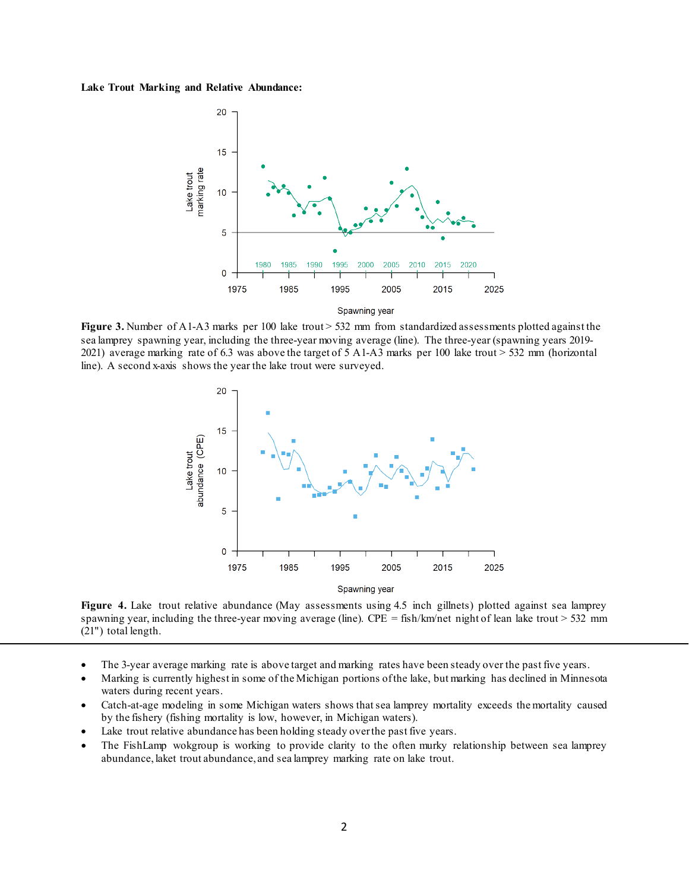## **Lake Trout Marking and Relative Abundance:**



**Figure 3.** Number of A1-A3 marks per 100 lake trout > 532 mm from standardized assessments plotted against the sea lamprey spawning year, including the three-year moving average (line). The three-year (spawning years 2019- 2021) average marking rate of 6.3 was above the target of 5 A1-A3 marks per 100 lake trout > 532 mm (horizontal line). A second x-axis shows the year the lake trout were surveyed.



Figure 4. Lake trout relative abundance (May assessments using 4.5 inch gillnets) plotted against sea lamprey spawning year, including the three-year moving average (line). CPE = fish/km/net night of lean lake trout > 532 mm (21") total length.

- The 3-year average marking rate is above target and marking rates have been steady over the past five years.
- Marking is currently highest in some of the Michigan portions of the lake, but marking has declined in Minnesota waters during recent years.
- Catch-at-age modeling in some Michigan waters shows that sea lamprey mortality exceeds the mortality caused by the fishery (fishing mortality is low, however, in Michigan waters).
- Lake trout relative abundance has been holding steady over the past five years.
- The FishLamp wokgroup is working to provide clarity to the often murky relationship between sea lamprey abundance, laket trout abundance, and sea lamprey marking rate on lake trout.